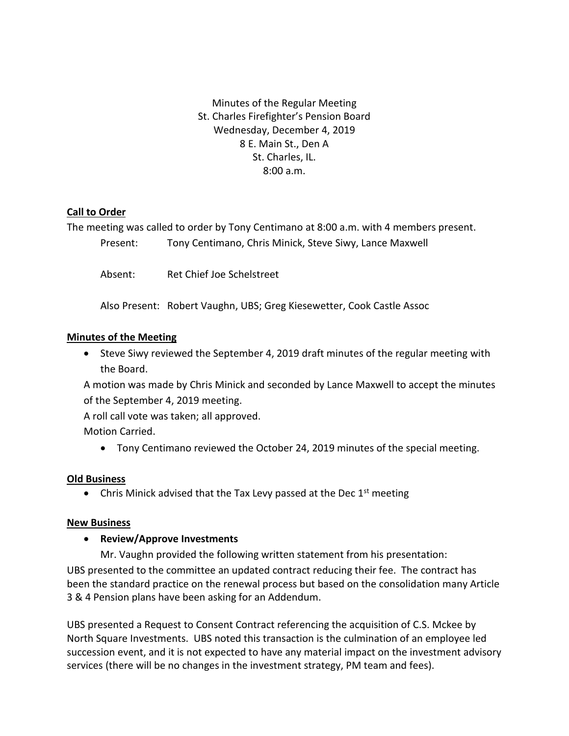Minutes of the Regular Meeting St. Charles Firefighter's Pension Board Wednesday, December 4, 2019 8 E. Main St., Den A St. Charles, IL. 8:00 a.m.

# **Call to Order**

The meeting was called to order by Tony Centimano at 8:00 a.m. with 4 members present.

Present: Tony Centimano, Chris Minick, Steve Siwy, Lance Maxwell

Absent: Ret Chief Joe Schelstreet

Also Present: Robert Vaughn, UBS; Greg Kiesewetter, Cook Castle Assoc

### **Minutes of the Meeting**

• Steve Siwy reviewed the September 4, 2019 draft minutes of the regular meeting with the Board.

A motion was made by Chris Minick and seconded by Lance Maxwell to accept the minutes of the September 4, 2019 meeting.

A roll call vote was taken; all approved.

Motion Carried.

• Tony Centimano reviewed the October 24, 2019 minutes of the special meeting.

# **Old Business**

• Chris Minick advised that the Tax Levy passed at the Dec 1<sup>st</sup> meeting

### **New Business**

# • **Review/Approve Investments**

Mr. Vaughn provided the following written statement from his presentation: UBS presented to the committee an updated contract reducing their fee. The contract has been the standard practice on the renewal process but based on the consolidation many Article 3 & 4 Pension plans have been asking for an Addendum.

UBS presented a Request to Consent Contract referencing the acquisition of C.S. Mckee by North Square Investments. UBS noted this transaction is the culmination of an employee led succession event, and it is not expected to have any material impact on the investment advisory services (there will be no changes in the investment strategy, PM team and fees).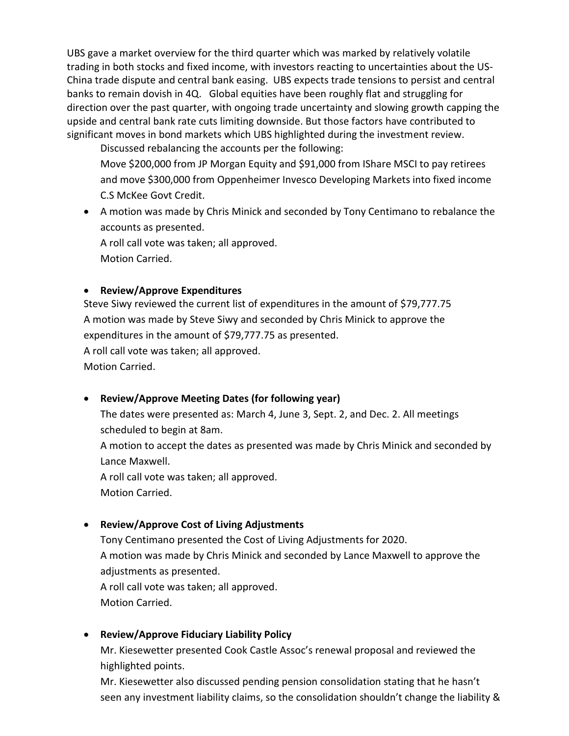UBS gave a market overview for the third quarter which was marked by relatively volatile trading in both stocks and fixed income, with investors reacting to uncertainties about the US-China trade dispute and central bank easing. UBS expects trade tensions to persist and central banks to remain dovish in 4Q. Global equities have been roughly flat and struggling for direction over the past quarter, with ongoing trade uncertainty and slowing growth capping the upside and central bank rate cuts limiting downside. But those factors have contributed to significant moves in bond markets which UBS highlighted during the investment review.

Discussed rebalancing the accounts per the following: Move \$200,000 from JP Morgan Equity and \$91,000 from IShare MSCI to pay retirees and move \$300,000 from Oppenheimer Invesco Developing Markets into fixed income C.S McKee Govt Credit.

• A motion was made by Chris Minick and seconded by Tony Centimano to rebalance the accounts as presented.

A roll call vote was taken; all approved. Motion Carried.

# • **Review/Approve Expenditures**

Steve Siwy reviewed the current list of expenditures in the amount of \$79,777.75 A motion was made by Steve Siwy and seconded by Chris Minick to approve the expenditures in the amount of \$79,777.75 as presented.

A roll call vote was taken; all approved.

Motion Carried.

# • **Review/Approve Meeting Dates (for following year)**

The dates were presented as: March 4, June 3, Sept. 2, and Dec. 2. All meetings scheduled to begin at 8am.

A motion to accept the dates as presented was made by Chris Minick and seconded by Lance Maxwell.

A roll call vote was taken; all approved. Motion Carried.

# • **Review/Approve Cost of Living Adjustments**

Tony Centimano presented the Cost of Living Adjustments for 2020. A motion was made by Chris Minick and seconded by Lance Maxwell to approve the adjustments as presented. A roll call vote was taken; all approved.

Motion Carried.

# • **Review/Approve Fiduciary Liability Policy**

Mr. Kiesewetter presented Cook Castle Assoc's renewal proposal and reviewed the highlighted points.

Mr. Kiesewetter also discussed pending pension consolidation stating that he hasn't seen any investment liability claims, so the consolidation shouldn't change the liability &